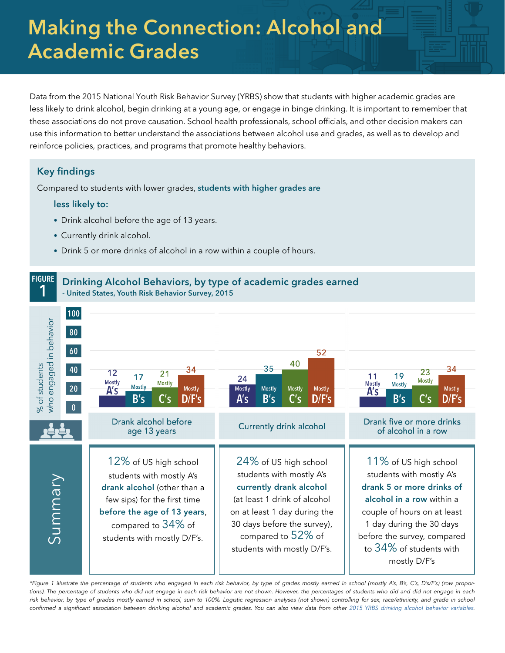# Making the Connection: Alcohol and Academic Grades

Data from the 2015 National Youth Risk Behavior Survey (YRBS) show that students with higher academic grades are less likely to drink alcohol, begin drinking at a young age, or engage in binge drinking. It is important to remember that these associations do not prove causation. School health professionals, school officials, and other decision makers can use this information to better understand the associations between alcohol use and grades, as well as to develop and reinforce policies, practices, and programs that promote healthy behaviors.

## Key findings

Compared to students with lower grades, students with higher grades are

#### less likely to:

- Drink alcohol before the age of 13 years.
- Currently drink alcohol.
- Drink 5 or more drinks of alcohol in a row within a couple of hours.



*\*Figure 1 illustrate the percentage of students who engaged in each risk behavior, by type of grades mostly earned in school (mostly A's, B's, C's, D's/F's) (row proportions). The percentage of students who did not engage in each risk behavior are not shown. However, the percentages of students who did and did not engage in each risk behavior, by type of grades mostly earned in school, sum to 100%. Logistic regression analyses (not shown) controlling for sex, race/ethnicity, and grade in school* confirmed a significant association between drinking alcohol and academic grades. You can also view data from other [2015 YRBS drinking alcohol behavior variables](https://www.cdc.gov/healthyyouth/data/yrbs/pdf/2015/2015_yrbs-data-users_guide_smy_combined.pdf).